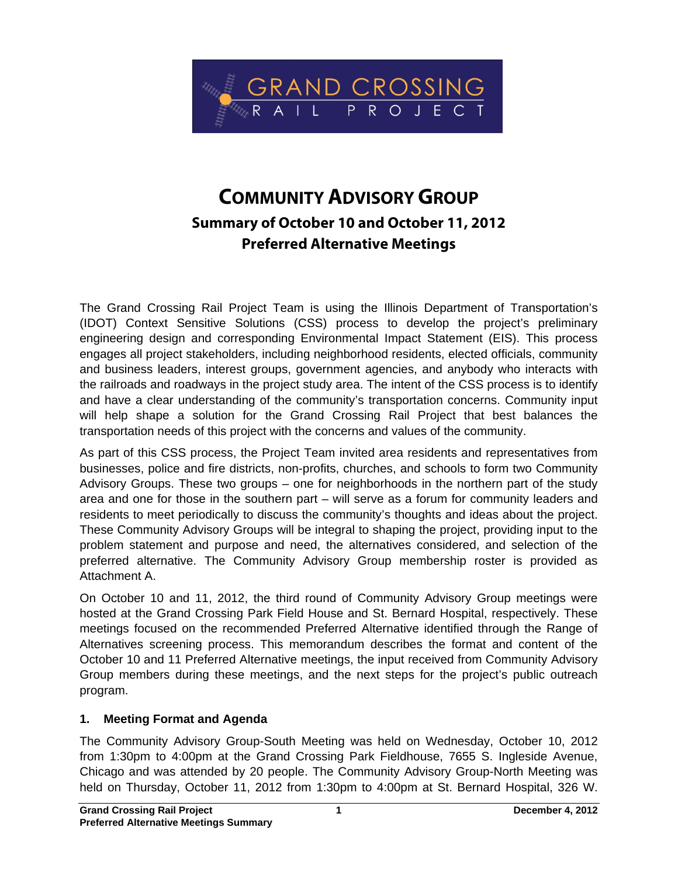

# **COMMUNITY ADVISORY GROUP Summary of October 10 and October 11, 2012 Preferred Alternative Meetings**

The Grand Crossing Rail Project Team is using the Illinois Department of Transportation's (IDOT) Context Sensitive Solutions (CSS) process to develop the project's preliminary engineering design and corresponding Environmental Impact Statement (EIS). This process engages all project stakeholders, including neighborhood residents, elected officials, community and business leaders, interest groups, government agencies, and anybody who interacts with the railroads and roadways in the project study area. The intent of the CSS process is to identify and have a clear understanding of the community's transportation concerns. Community input will help shape a solution for the Grand Crossing Rail Project that best balances the transportation needs of this project with the concerns and values of the community.

As part of this CSS process, the Project Team invited area residents and representatives from businesses, police and fire districts, non-profits, churches, and schools to form two Community Advisory Groups. These two groups – one for neighborhoods in the northern part of the study area and one for those in the southern part – will serve as a forum for community leaders and residents to meet periodically to discuss the community's thoughts and ideas about the project. These Community Advisory Groups will be integral to shaping the project, providing input to the problem statement and purpose and need, the alternatives considered, and selection of the preferred alternative. The Community Advisory Group membership roster is provided as Attachment A.

On October 10 and 11, 2012, the third round of Community Advisory Group meetings were hosted at the Grand Crossing Park Field House and St. Bernard Hospital, respectively. These meetings focused on the recommended Preferred Alternative identified through the Range of Alternatives screening process. This memorandum describes the format and content of the October 10 and 11 Preferred Alternative meetings, the input received from Community Advisory Group members during these meetings, and the next steps for the project's public outreach program.

# **1. Meeting Format and Agenda**

The Community Advisory Group-South Meeting was held on Wednesday, October 10, 2012 from 1:30pm to 4:00pm at the Grand Crossing Park Fieldhouse, 7655 S. Ingleside Avenue, Chicago and was attended by 20 people. The Community Advisory Group-North Meeting was held on Thursday, October 11, 2012 from 1:30pm to 4:00pm at St. Bernard Hospital, 326 W.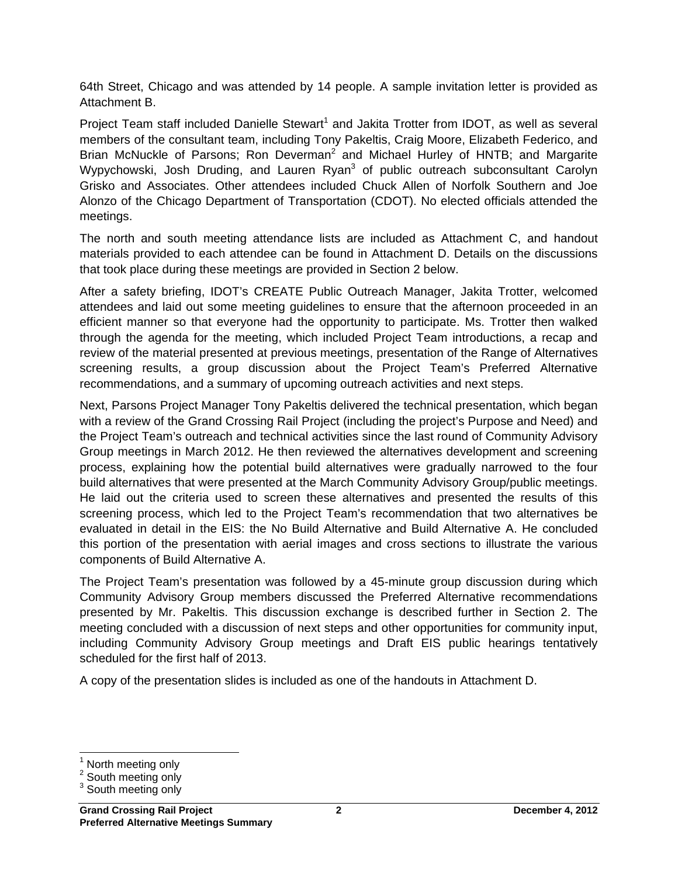64th Street, Chicago and was attended by 14 people. A sample invitation letter is provided as Attachment B.

Project Team staff included Danielle Stewart<sup>1</sup> and Jakita Trotter from IDOT, as well as several members of the consultant team, including Tony Pakeltis, Craig Moore, Elizabeth Federico, and Brian McNuckle of Parsons; Ron Deverman<sup>2</sup> and Michael Hurley of HNTB; and Margarite Wypychowski, Josh Druding, and Lauren Ryan<sup>3</sup> of public outreach subconsultant Carolyn Grisko and Associates. Other attendees included Chuck Allen of Norfolk Southern and Joe Alonzo of the Chicago Department of Transportation (CDOT). No elected officials attended the meetings.

The north and south meeting attendance lists are included as Attachment C, and handout materials provided to each attendee can be found in Attachment D. Details on the discussions that took place during these meetings are provided in Section 2 below.

After a safety briefing, IDOT's CREATE Public Outreach Manager, Jakita Trotter, welcomed attendees and laid out some meeting guidelines to ensure that the afternoon proceeded in an efficient manner so that everyone had the opportunity to participate. Ms. Trotter then walked through the agenda for the meeting, which included Project Team introductions, a recap and review of the material presented at previous meetings, presentation of the Range of Alternatives screening results, a group discussion about the Project Team's Preferred Alternative recommendations, and a summary of upcoming outreach activities and next steps.

Next, Parsons Project Manager Tony Pakeltis delivered the technical presentation, which began with a review of the Grand Crossing Rail Project (including the project's Purpose and Need) and the Project Team's outreach and technical activities since the last round of Community Advisory Group meetings in March 2012. He then reviewed the alternatives development and screening process, explaining how the potential build alternatives were gradually narrowed to the four build alternatives that were presented at the March Community Advisory Group/public meetings. He laid out the criteria used to screen these alternatives and presented the results of this screening process, which led to the Project Team's recommendation that two alternatives be evaluated in detail in the EIS: the No Build Alternative and Build Alternative A. He concluded this portion of the presentation with aerial images and cross sections to illustrate the various components of Build Alternative A.

The Project Team's presentation was followed by a 45-minute group discussion during which Community Advisory Group members discussed the Preferred Alternative recommendations presented by Mr. Pakeltis. This discussion exchange is described further in Section 2. The meeting concluded with a discussion of next steps and other opportunities for community input, including Community Advisory Group meetings and Draft EIS public hearings tentatively scheduled for the first half of 2013.

A copy of the presentation slides is included as one of the handouts in Attachment D.

<sup>-</sup>1 North meeting only

<sup>&</sup>lt;sup>2</sup> South meeting only

<sup>&</sup>lt;sup>3</sup> South meeting only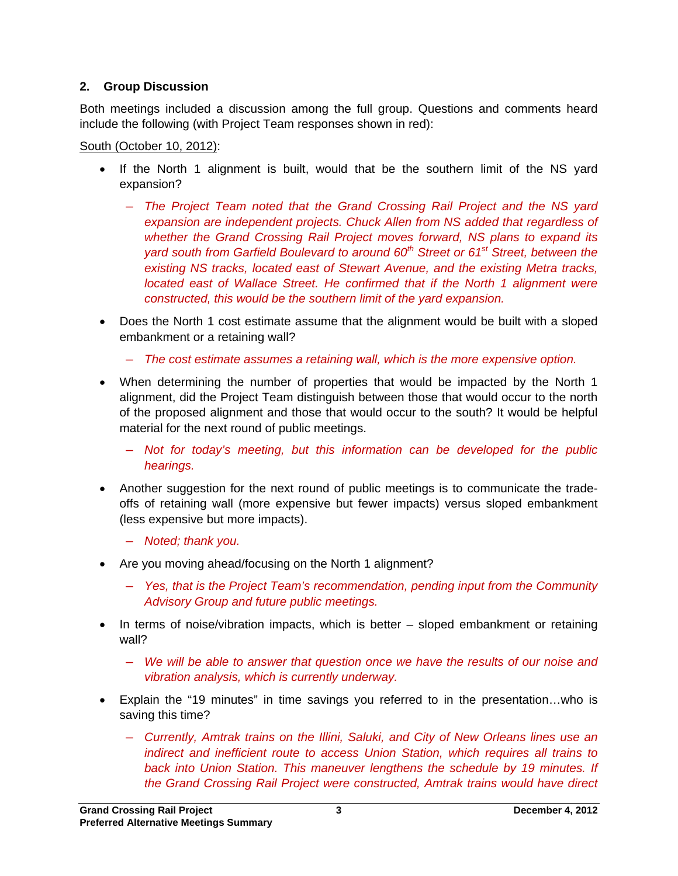### **2. Group Discussion**

Both meetings included a discussion among the full group. Questions and comments heard include the following (with Project Team responses shown in red):

South (October 10, 2012):

- If the North 1 alignment is built, would that be the southern limit of the NS yard expansion?
	- ― *The Project Team noted that the Grand Crossing Rail Project and the NS yard expansion are independent projects. Chuck Allen from NS added that regardless of whether the Grand Crossing Rail Project moves forward, NS plans to expand its yard south from Garfield Boulevard to around 60th Street or 61st Street, between the existing NS tracks, located east of Stewart Avenue, and the existing Metra tracks, located east of Wallace Street. He confirmed that if the North 1 alignment were constructed, this would be the southern limit of the yard expansion.*
- Does the North 1 cost estimate assume that the alignment would be built with a sloped embankment or a retaining wall?
	- ― *The cost estimate assumes a retaining wall, which is the more expensive option.*
- When determining the number of properties that would be impacted by the North 1 alignment, did the Project Team distinguish between those that would occur to the north of the proposed alignment and those that would occur to the south? It would be helpful material for the next round of public meetings.
	- ― *Not for today's meeting, but this information can be developed for the public hearings.*
- Another suggestion for the next round of public meetings is to communicate the tradeoffs of retaining wall (more expensive but fewer impacts) versus sloped embankment (less expensive but more impacts).
	- ― *Noted; thank you.*
- Are you moving ahead/focusing on the North 1 alignment?
	- ― *Yes, that is the Project Team's recommendation, pending input from the Community Advisory Group and future public meetings.*
- In terms of noise/vibration impacts, which is better sloped embankment or retaining wall?
	- ― *We will be able to answer that question once we have the results of our noise and vibration analysis, which is currently underway.*
- Explain the "19 minutes" in time savings you referred to in the presentation…who is saving this time?
	- ― *Currently, Amtrak trains on the Illini, Saluki, and City of New Orleans lines use an indirect and inefficient route to access Union Station, which requires all trains to*  back into Union Station. This maneuver lengthens the schedule by 19 minutes. If *the Grand Crossing Rail Project were constructed, Amtrak trains would have direct*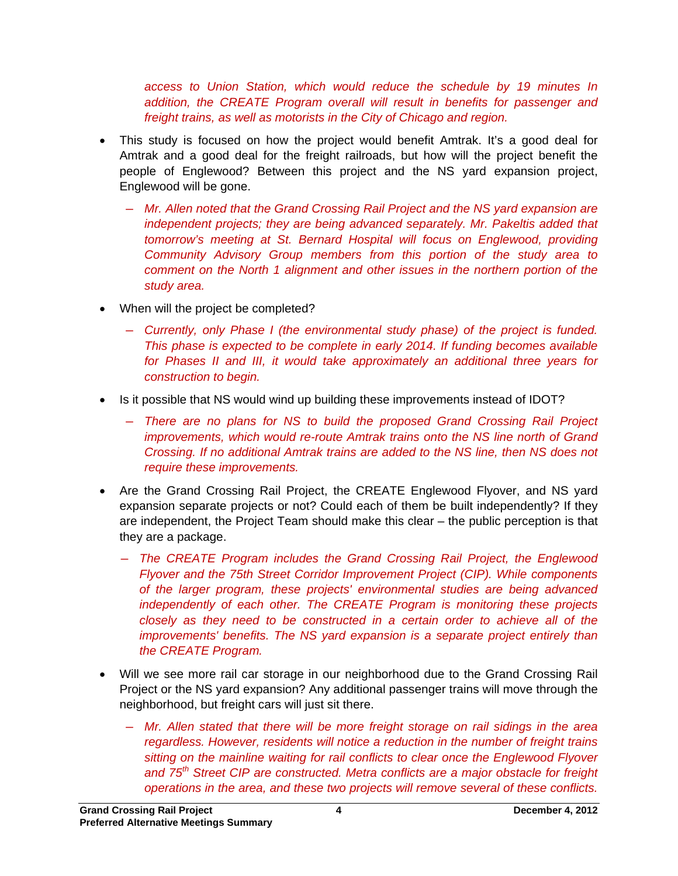*access to Union Station, which would reduce the schedule by 19 minutes In*  addition, the CREATE Program overall will result in benefits for passenger and *freight trains, as well as motorists in the City of Chicago and region.* 

- This study is focused on how the project would benefit Amtrak. It's a good deal for Amtrak and a good deal for the freight railroads, but how will the project benefit the people of Englewood? Between this project and the NS yard expansion project, Englewood will be gone.
	- ― *Mr. Allen noted that the Grand Crossing Rail Project and the NS yard expansion are independent projects; they are being advanced separately. Mr. Pakeltis added that tomorrow's meeting at St. Bernard Hospital will focus on Englewood, providing Community Advisory Group members from this portion of the study area to comment on the North 1 alignment and other issues in the northern portion of the study area.*
- When will the project be completed?
	- ― *Currently, only Phase I (the environmental study phase) of the project is funded. This phase is expected to be complete in early 2014. If funding becomes available for Phases II and III, it would take approximately an additional three years for construction to begin.*
- Is it possible that NS would wind up building these improvements instead of IDOT?
	- ― *There are no plans for NS to build the proposed Grand Crossing Rail Project improvements, which would re-route Amtrak trains onto the NS line north of Grand Crossing. If no additional Amtrak trains are added to the NS line, then NS does not require these improvements.*
- Are the Grand Crossing Rail Project, the CREATE Englewood Flyover, and NS yard expansion separate projects or not? Could each of them be built independently? If they are independent, the Project Team should make this clear – the public perception is that they are a package.
	- ― *The CREATE Program includes the Grand Crossing Rail Project, the Englewood Flyover and the 75th Street Corridor Improvement Project (CIP). While components of the larger program, these projects' environmental studies are being advanced independently of each other. The CREATE Program is monitoring these projects closely as they need to be constructed in a certain order to achieve all of the improvements' benefits. The NS yard expansion is a separate project entirely than the CREATE Program.*
- Will we see more rail car storage in our neighborhood due to the Grand Crossing Rail Project or the NS yard expansion? Any additional passenger trains will move through the neighborhood, but freight cars will just sit there.
	- ― *Mr. Allen stated that there will be more freight storage on rail sidings in the area regardless. However, residents will notice a reduction in the number of freight trains sitting on the mainline waiting for rail conflicts to clear once the Englewood Flyover and 75th Street CIP are constructed. Metra conflicts are a major obstacle for freight operations in the area, and these two projects will remove several of these conflicts.*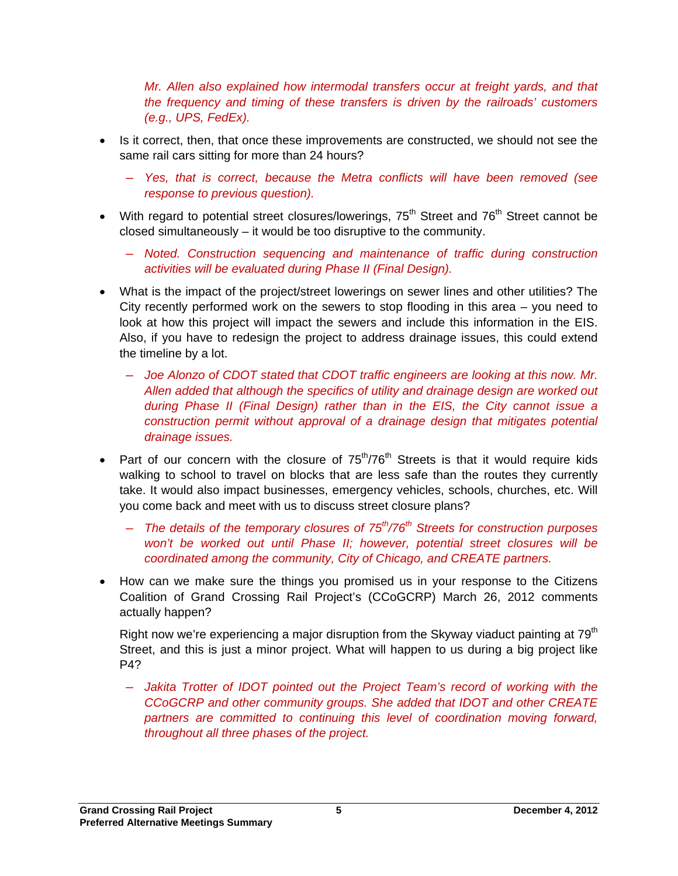*Mr. Allen also explained how intermodal transfers occur at freight yards, and that the frequency and timing of these transfers is driven by the railroads' customers (e.g., UPS, FedEx).* 

- Is it correct, then, that once these improvements are constructed, we should not see the same rail cars sitting for more than 24 hours?
	- ― *Yes, that is correct, because the Metra conflicts will have been removed (see response to previous question).*
- With regard to potential street closures/lowerings,  $75<sup>th</sup>$  Street and  $76<sup>th</sup>$  Street cannot be closed simultaneously – it would be too disruptive to the community.
	- ― *Noted. Construction sequencing and maintenance of traffic during construction activities will be evaluated during Phase II (Final Design).*
- What is the impact of the project/street lowerings on sewer lines and other utilities? The City recently performed work on the sewers to stop flooding in this area – you need to look at how this project will impact the sewers and include this information in the EIS. Also, if you have to redesign the project to address drainage issues, this could extend the timeline by a lot.
	- ― *Joe Alonzo of CDOT stated that CDOT traffic engineers are looking at this now. Mr. Allen added that although the specifics of utility and drainage design are worked out during Phase II (Final Design) rather than in the EIS, the City cannot issue a construction permit without approval of a drainage design that mitigates potential drainage issues.*
- Part of our concern with the closure of  $75<sup>th</sup>/76<sup>th</sup>$  Streets is that it would require kids walking to school to travel on blocks that are less safe than the routes they currently take. It would also impact businesses, emergency vehicles, schools, churches, etc. Will you come back and meet with us to discuss street closure plans?
	- ― *The details of the temporary closures of 75th/76th Streets for construction purposes won't be worked out until Phase II; however, potential street closures will be coordinated among the community, City of Chicago, and CREATE partners.*
- How can we make sure the things you promised us in your response to the Citizens Coalition of Grand Crossing Rail Project's (CCoGCRP) March 26, 2012 comments actually happen?

Right now we're experiencing a major disruption from the Skyway viaduct painting at  $79<sup>th</sup>$ Street, and this is just a minor project. What will happen to us during a big project like P4?

― *Jakita Trotter of IDOT pointed out the Project Team's record of working with the CCoGCRP and other community groups. She added that IDOT and other CREATE partners are committed to continuing this level of coordination moving forward, throughout all three phases of the project.*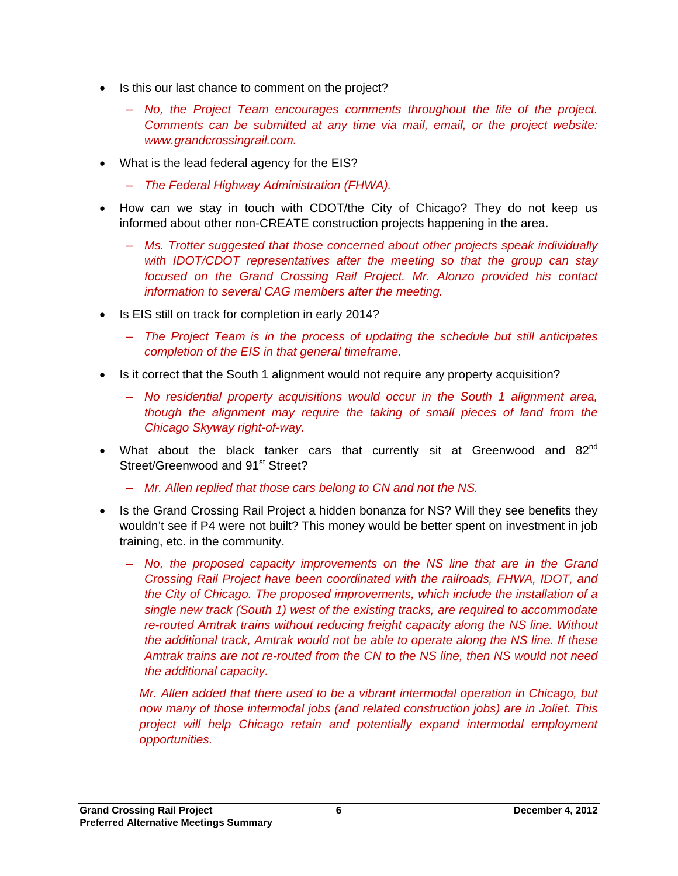- Is this our last chance to comment on the project?
	- ― *No, the Project Team encourages comments throughout the life of the project. Comments can be submitted at any time via mail, email, or the project website: www.grandcrossingrail.com.*
- What is the lead federal agency for the EIS?
	- ― *The Federal Highway Administration (FHWA).*
- How can we stay in touch with CDOT/the City of Chicago? They do not keep us informed about other non-CREATE construction projects happening in the area.
	- ― *Ms. Trotter suggested that those concerned about other projects speak individually with IDOT/CDOT representatives after the meeting so that the group can stay focused on the Grand Crossing Rail Project. Mr. Alonzo provided his contact information to several CAG members after the meeting.*
- Is EIS still on track for completion in early 2014?
	- ― *The Project Team is in the process of updating the schedule but still anticipates completion of the EIS in that general timeframe.*
- Is it correct that the South 1 alignment would not require any property acquisition?
	- ― *No residential property acquisitions would occur in the South 1 alignment area, though the alignment may require the taking of small pieces of land from the Chicago Skyway right-of-way.*
- What about the black tanker cars that currently sit at Greenwood and  $82^{nd}$ Street/Greenwood and 91<sup>st</sup> Street?
	- ― *Mr. Allen replied that those cars belong to CN and not the NS.*
- Is the Grand Crossing Rail Project a hidden bonanza for NS? Will they see benefits they wouldn't see if P4 were not built? This money would be better spent on investment in job training, etc. in the community.
	- ― *No, the proposed capacity improvements on the NS line that are in the Grand Crossing Rail Project have been coordinated with the railroads, FHWA, IDOT, and the City of Chicago. The proposed improvements, which include the installation of a single new track (South 1) west of the existing tracks, are required to accommodate re-routed Amtrak trains without reducing freight capacity along the NS line. Without the additional track, Amtrak would not be able to operate along the NS line. If these Amtrak trains are not re-routed from the CN to the NS line, then NS would not need the additional capacity.*

*Mr. Allen added that there used to be a vibrant intermodal operation in Chicago, but now many of those intermodal jobs (and related construction jobs) are in Joliet. This project will help Chicago retain and potentially expand intermodal employment opportunities.*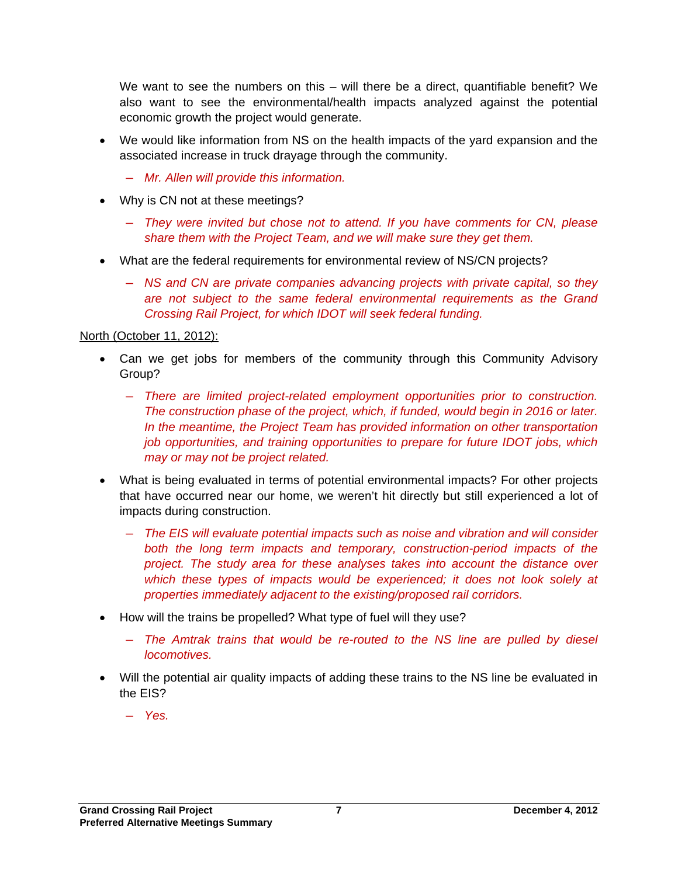We want to see the numbers on this – will there be a direct, quantifiable benefit? We also want to see the environmental/health impacts analyzed against the potential economic growth the project would generate.

- We would like information from NS on the health impacts of the yard expansion and the associated increase in truck drayage through the community.
	- ― *Mr. Allen will provide this information.*
- Why is CN not at these meetings?
	- ― *They were invited but chose not to attend. If you have comments for CN, please share them with the Project Team, and we will make sure they get them.*
- What are the federal requirements for environmental review of NS/CN projects?
	- ― *NS and CN are private companies advancing projects with private capital, so they are not subject to the same federal environmental requirements as the Grand Crossing Rail Project, for which IDOT will seek federal funding.*

### North (October 11, 2012):

- Can we get jobs for members of the community through this Community Advisory Group?
	- ― *There are limited project-related employment opportunities prior to construction. The construction phase of the project, which, if funded, would begin in 2016 or later. In the meantime, the Project Team has provided information on other transportation job opportunities, and training opportunities to prepare for future IDOT jobs, which may or may not be project related.*
- What is being evaluated in terms of potential environmental impacts? For other projects that have occurred near our home, we weren't hit directly but still experienced a lot of impacts during construction.
	- ― *The EIS will evaluate potential impacts such as noise and vibration and will consider both the long term impacts and temporary, construction-period impacts of the project. The study area for these analyses takes into account the distance over*  which these types of impacts would be experienced; it does not look solely at *properties immediately adjacent to the existing/proposed rail corridors.*
- How will the trains be propelled? What type of fuel will they use?
	- ― *The Amtrak trains that would be re-routed to the NS line are pulled by diesel locomotives.*
- Will the potential air quality impacts of adding these trains to the NS line be evaluated in the EIS?
	- ― *Yes.*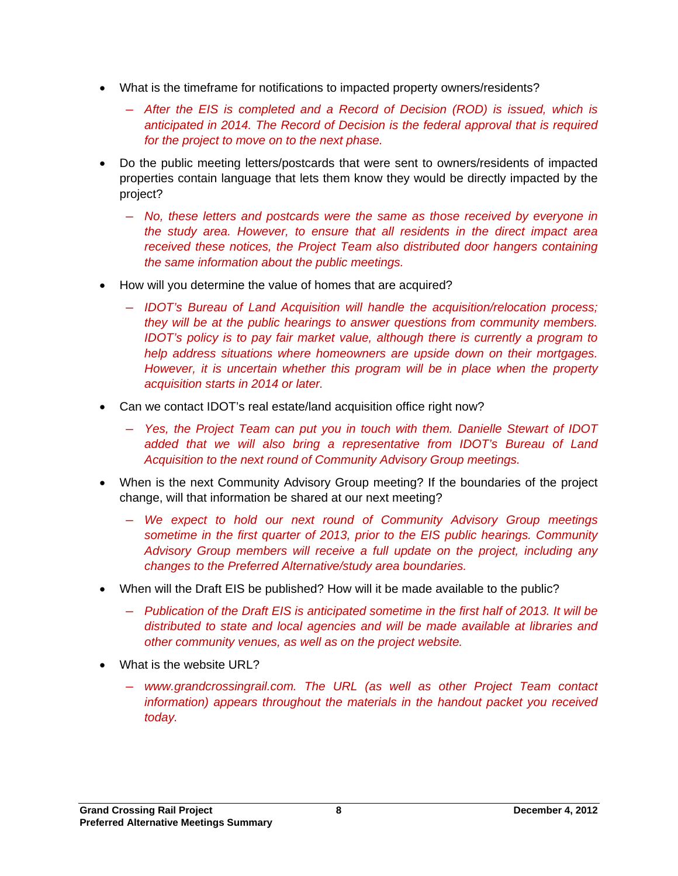- What is the timeframe for notifications to impacted property owners/residents?
	- ― *After the EIS is completed and a Record of Decision (ROD) is issued, which is anticipated in 2014. The Record of Decision is the federal approval that is required for the project to move on to the next phase.*
- Do the public meeting letters/postcards that were sent to owners/residents of impacted properties contain language that lets them know they would be directly impacted by the project?
	- ― *No, these letters and postcards were the same as those received by everyone in the study area. However, to ensure that all residents in the direct impact area received these notices, the Project Team also distributed door hangers containing the same information about the public meetings.*
- How will you determine the value of homes that are acquired?
	- ― *IDOT's Bureau of Land Acquisition will handle the acquisition/relocation process; they will be at the public hearings to answer questions from community members. IDOT's policy is to pay fair market value, although there is currently a program to help address situations where homeowners are upside down on their mortgages. However, it is uncertain whether this program will be in place when the property acquisition starts in 2014 or later.*
- Can we contact IDOT's real estate/land acquisition office right now?
	- ― *Yes, the Project Team can put you in touch with them. Danielle Stewart of IDOT added that we will also bring a representative from IDOT's Bureau of Land Acquisition to the next round of Community Advisory Group meetings.*
- When is the next Community Advisory Group meeting? If the boundaries of the project change, will that information be shared at our next meeting?
	- ― *We expect to hold our next round of Community Advisory Group meetings sometime in the first quarter of 2013, prior to the EIS public hearings. Community Advisory Group members will receive a full update on the project, including any changes to the Preferred Alternative/study area boundaries.*
- When will the Draft EIS be published? How will it be made available to the public?
	- ― *Publication of the Draft EIS is anticipated sometime in the first half of 2013. It will be distributed to state and local agencies and will be made available at libraries and other community venues, as well as on the project website.*
- What is the website URL?
	- ― *www.grandcrossingrail.com. The URL (as well as other Project Team contact information) appears throughout the materials in the handout packet you received today.*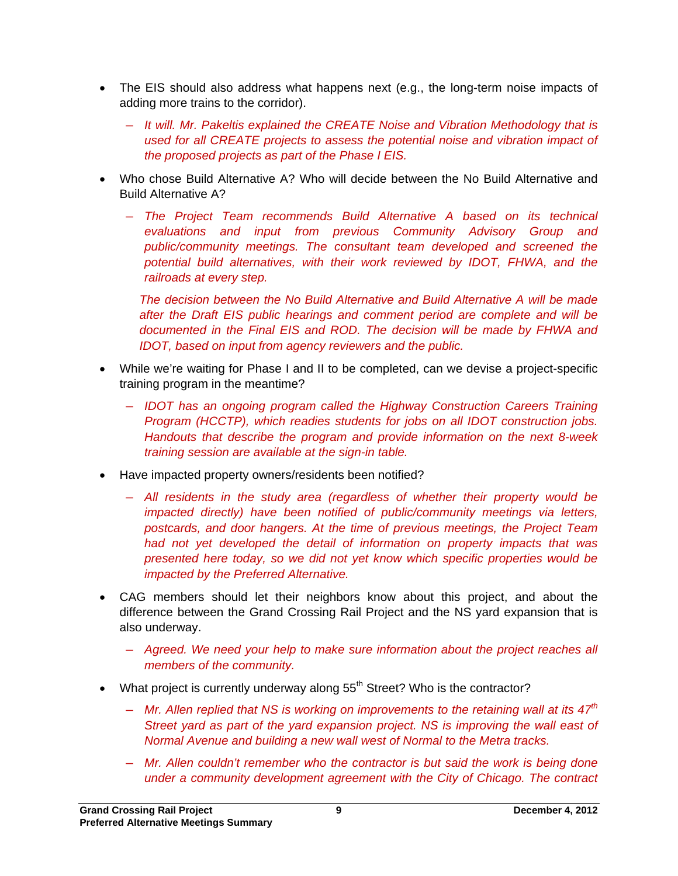- The EIS should also address what happens next (e.g., the long-term noise impacts of adding more trains to the corridor).
	- ― *It will. Mr. Pakeltis explained the CREATE Noise and Vibration Methodology that is used for all CREATE projects to assess the potential noise and vibration impact of the proposed projects as part of the Phase I EIS.*
- Who chose Build Alternative A? Who will decide between the No Build Alternative and Build Alternative A?
	- ― *The Project Team recommends Build Alternative A based on its technical evaluations and input from previous Community Advisory Group and public/community meetings. The consultant team developed and screened the potential build alternatives, with their work reviewed by IDOT, FHWA, and the railroads at every step.*

*The decision between the No Build Alternative and Build Alternative A will be made after the Draft EIS public hearings and comment period are complete and will be documented in the Final EIS and ROD. The decision will be made by FHWA and IDOT, based on input from agency reviewers and the public.* 

- While we're waiting for Phase I and II to be completed, can we devise a project-specific training program in the meantime?
	- ― *IDOT has an ongoing program called the Highway Construction Careers Training Program (HCCTP), which readies students for jobs on all IDOT construction jobs. Handouts that describe the program and provide information on the next 8-week training session are available at the sign-in table.*
- Have impacted property owners/residents been notified?
	- ― *All residents in the study area (regardless of whether their property would be impacted directly) have been notified of public/community meetings via letters, postcards, and door hangers. At the time of previous meetings, the Project Team had not yet developed the detail of information on property impacts that was presented here today, so we did not yet know which specific properties would be impacted by the Preferred Alternative.*
- CAG members should let their neighbors know about this project, and about the difference between the Grand Crossing Rail Project and the NS yard expansion that is also underway.
	- ― *Agreed. We need your help to make sure information about the project reaches all members of the community.*
- What project is currently underway along  $55<sup>th</sup>$  Street? Who is the contractor?
	- ― *Mr. Allen replied that NS is working on improvements to the retaining wall at its 47th Street yard as part of the yard expansion project. NS is improving the wall east of Normal Avenue and building a new wall west of Normal to the Metra tracks.*
	- ― *Mr. Allen couldn't remember who the contractor is but said the work is being done under a community development agreement with the City of Chicago. The contract*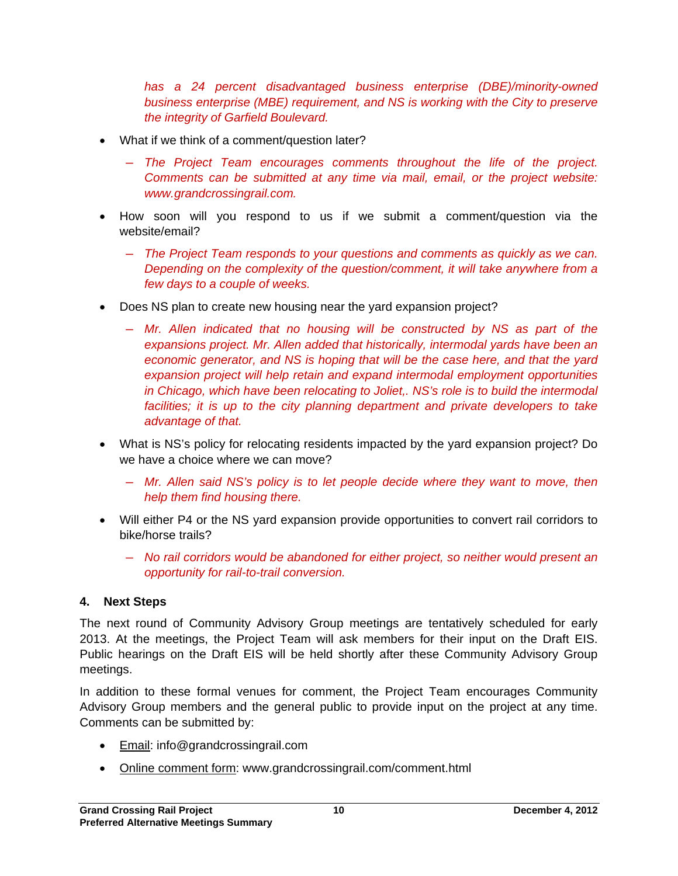has a 24 percent disadvantaged business enterprise (DBE)/minority-owned *business enterprise (MBE) requirement, and NS is working with the City to preserve the integrity of Garfield Boulevard.* 

- What if we think of a comment/question later?
	- ― *The Project Team encourages comments throughout the life of the project. Comments can be submitted at any time via mail, email, or the project website: www.grandcrossingrail.com.*
- How soon will you respond to us if we submit a comment/question via the website/email?
	- ― *The Project Team responds to your questions and comments as quickly as we can. Depending on the complexity of the question/comment, it will take anywhere from a few days to a couple of weeks.*
- Does NS plan to create new housing near the yard expansion project?
	- ― *Mr. Allen indicated that no housing will be constructed by NS as part of the expansions project. Mr. Allen added that historically, intermodal yards have been an economic generator, and NS is hoping that will be the case here, and that the yard expansion project will help retain and expand intermodal employment opportunities in Chicago, which have been relocating to Joliet,. NS's role is to build the intermodal facilities; it is up to the city planning department and private developers to take advantage of that.*
- What is NS's policy for relocating residents impacted by the yard expansion project? Do we have a choice where we can move?
	- ― *Mr. Allen said NS's policy is to let people decide where they want to move, then help them find housing there.*
- Will either P4 or the NS yard expansion provide opportunities to convert rail corridors to bike/horse trails?
	- ― *No rail corridors would be abandoned for either project, so neither would present an opportunity for rail-to-trail conversion.*

# **4. Next Steps**

The next round of Community Advisory Group meetings are tentatively scheduled for early 2013. At the meetings, the Project Team will ask members for their input on the Draft EIS. Public hearings on the Draft EIS will be held shortly after these Community Advisory Group meetings.

In addition to these formal venues for comment, the Project Team encourages Community Advisory Group members and the general public to provide input on the project at any time. Comments can be submitted by:

- Email: info@grandcrossingrail.com
- Online comment form: www.grandcrossingrail.com/comment.html